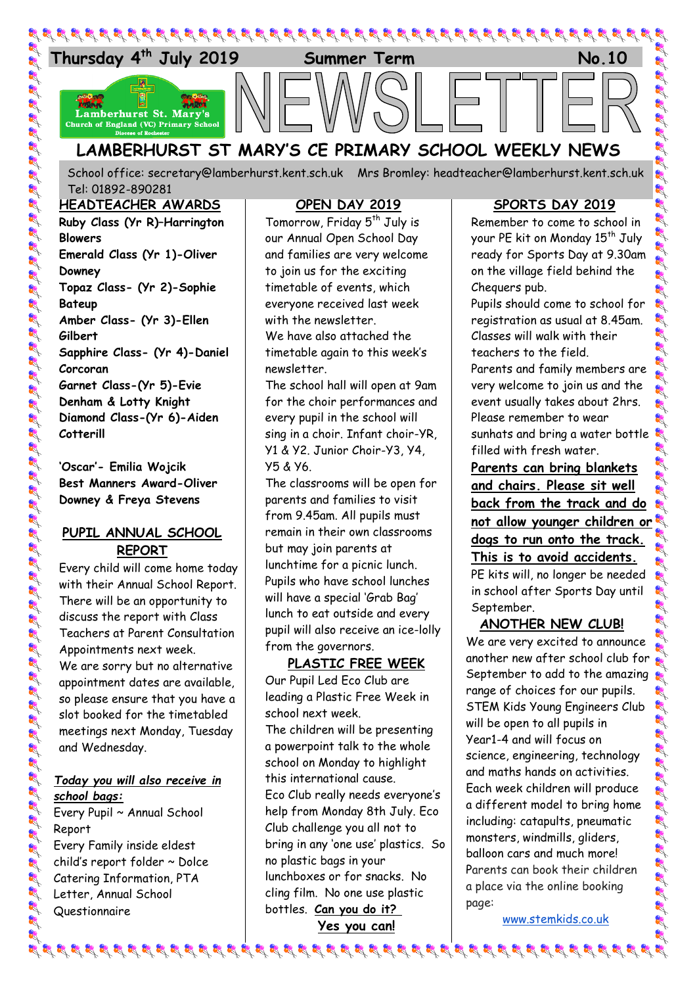

School office: [secretary@lamberhurst.kent.sch.uk](mailto:secretary@lamberhurst.kent.sch.uk) Mrs Bromley: headteacher@lamberhurst.kent.sch.uk Tel: 01892-890281

#### **HEADTEACHER AWARDS**

**Ruby Class (Yr R)–Harrington Blowers Emerald Class (Yr 1)-Oliver Downey Topaz Class- (Yr 2)-Sophie Bateup Amber Class- (Yr 3)-Ellen Gilbert Sapphire Class- (Yr 4)-Daniel Corcoran Garnet Class-(Yr 5)-Evie Denham & Lotty Knight Diamond Class-(Yr 6)-Aiden Cotterill**

**'Oscar'- Emilia Wojcik Best Manners Award-Oliver Downey & Freya Stevens**

### **PUPIL ANNUAL SCHOOL REPORT**

Et Et Et Et Et Et Et Et Et Et Et Et

Every child will come home today with their Annual School Report. There will be an opportunity to discuss the report with Class Teachers at Parent Consultation Appointments next week. We are sorry but no alternative appointment dates are available, so please ensure that you have a slot booked for the timetabled meetings next Monday, Tuesday and Wednesday.

### *Today you will also receive in school bags:*

Every Pupil ~ Annual School Report Every Family inside eldest child's report folder ~ Dolce Catering Information, PTA Letter, Annual School Questionnaire

## **OPEN DAY 2019**

Tomorrow, Friday 5<sup>th</sup> July is our Annual Open School Day and families are very welcome to join us for the exciting timetable of events, which everyone received last week with the newsletter

We have also attached the timetable again to this week's newsletter.

The school hall will open at 9am for the choir performances and every pupil in the school will sing in a choir. Infant choir-YR, Y1 & Y2. Junior Choir-Y3, Y4, Y5 & Y6.

The classrooms will be open for parents and families to visit from 9.45am. All pupils must remain in their own classrooms but may join parents at lunchtime for a picnic lunch. Pupils who have school lunches will have a special 'Grab Bag' lunch to eat outside and every pupil will also receive an ice-lolly from the governors.

### **PLASTIC FREE WEEK**

Our Pupil Led Eco Club are leading a Plastic Free Week in school next week. The children will be presenting a powerpoint talk to the whole school on Monday to highlight this international cause. Eco Club really needs everyone's help from Monday 8th July. Eco Club challenge you all not to bring in any 'one use' plastics. So no plastic bags in your lunchboxes or for snacks. No cling film. No one use plastic bottles. **Can you do it?**

**Yes you can!**

### **SPORTS DAY 2019**

Remember to come to school in your PE kit on Monday 15<sup>th</sup> July ready for Sports Day at 9.30am on the village field behind the Chequers pub.

Pupils should come to school for registration as usual at 8.45am. Classes will walk with their teachers to the field.

Parents and family members are very welcome to join us and the event usually takes about 2hrs. Please remember to wear sunhats and bring a water bottle filled with fresh water.

**Parents can bring blankets and chairs. Please sit well back from the track and do not allow younger children or dogs to run onto the track. This is to avoid accidents.** PE kits will, no longer be needed in school after Sports Day until

### **ANOTHER NEW CLUB!**

September.

We are very excited to announce another new after school club for September to add to the amazing range of choices for our pupils. STEM Kids Young Engineers Club will be open to all pupils in Year1-4 and will focus on science, engineering, technology and maths hands on activities. Each week children will produce a different model to bring home including: catapults, pneumatic monsters, windmills, gliders, balloon cars and much more! Parents can book their children a place via the online booking page:

at at at at at at at at

[www.stemkids.co.uk](http://www.stemkids.co.uk/)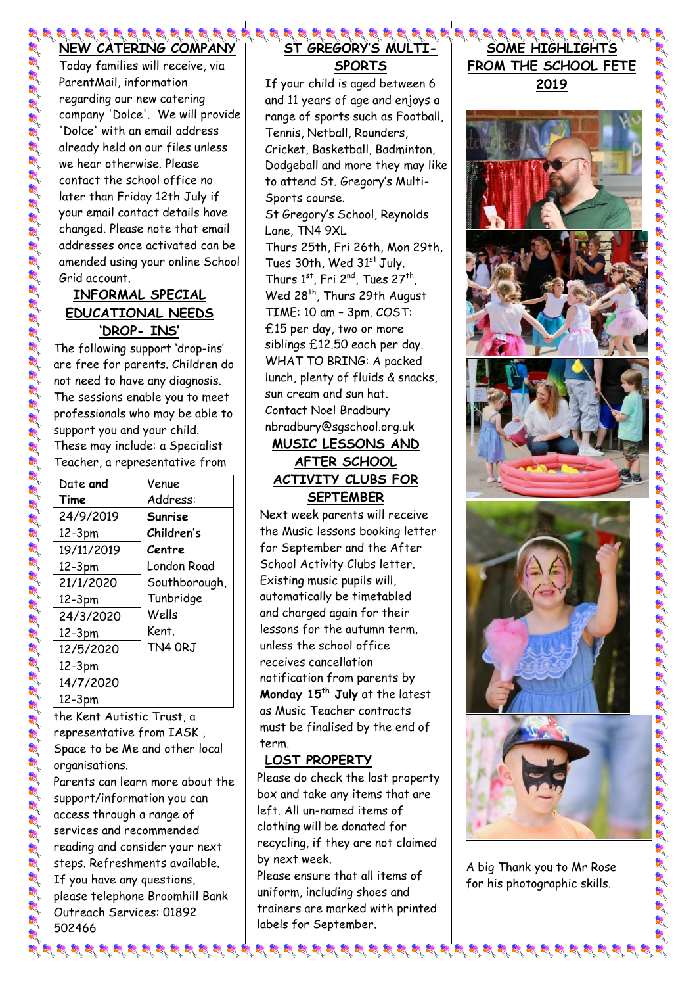# **NEW CATERING COMPANY**

Today families will receive, via ParentMail, information regarding our new catering company 'Dolce'. We will provide 'Dolce' with an email address already held on our files unless we hear otherwise. Please contact the school office no later than Friday 12th July if your email contact details have changed. Please note that email addresses once activated can be amended using your online School Grid account.

## **INFORMAL SPECIAL EDUCATIONAL NEEDS 'DROP- INS'**

The following support 'drop-ins' are free for parents. Children do not need to have any diagnosis. The sessions enable you to meet professionals who may be able to support you and your child. These may include: a Specialist Teacher, a representative from

| Date and   | Venue         |
|------------|---------------|
| Time       | Address:      |
| 24/9/2019  | Sunrise       |
| 12-3pm     | Children's    |
| 19/11/2019 | Centre        |
| 12-3pm     | London Road   |
| 21/1/2020  | Southborough, |
| 12-3pm     | Tunbridge     |
| 24/3/2020  | Wells         |
| 12-3pm     | Kent.         |
| 12/5/2020  | TN4 ORJ       |
| 12-3pm     |               |
| 14/7/2020  |               |
| 12-3pm     |               |

the Kent Autistic Trust, a representative from IASK , Space to be Me and other local organisations. Parents can learn more about the support/information you can access through a range of services and recommended reading and consider your next

steps. Refreshments available. If you have any questions, please telephone Broomhill Bank Outreach Services: 01892 502466

## 3 3 3 3 3 3 3 3 3 3 3 3 4 3 4 **ST GREGORY'S MULTI-SPORTS**

If your child is aged between 6 and 11 years of age and enjoys a range of sports such as Football, Tennis, Netball, Rounders, Cricket, Basketball, Badminton, Dodgeball and more they may like to attend St. Gregory's Multi-Sports course. St Gregory's School, Reynolds

Lane, TN4 9XL Thurs 25th, Fri 26th, Mon 29th, Tues  $30th$ , Wed  $31<sup>st</sup>$  July. Thurs  $1^{st}$ , Fri  $2^{nd}$ , Tues  $27^{th}$ , Wed 28<sup>th</sup>, Thurs 29th August TIME: 10 am – 3pm. COST: £15 per day, two or more siblings £12.50 each per day. WHAT TO BRING: A packed lunch, plenty of fluids & snacks, sun cream and sun hat. Contact Noel Bradbury [nbradbury@sgschool.org.uk](mailto:nbradbury@sgschool.org.uk)

# **MUSIC LESSONS AND AFTER SCHOOL ACTIVITY CLUBS FOR SEPTEMBER**

Next week parents will receive the Music lessons booking letter for September and the After School Activity Clubs letter. Existing music pupils will, automatically be timetabled and charged again for their lessons for the autumn term, unless the school office receives cancellation notification from parents by **Monday 15th July** at the latest as Music Teacher contracts must be finalised by the end of term.

## **LOST PROPERTY**

Please do check the lost property box and take any items that are left. All un-named items of clothing will be donated for recycling, if they are not claimed by next week.

Please ensure that all items of uniform, including shoes and trainers are marked with printed labels for September.

 $\mathcal{G}$  is a sp is to be the sp is a sp is a sp is to be the sp is to be the sp is the sp is the sp is the sp is the sp is the sp is the sp is the sp is the sp is the sp is the sp is the sp is the sp is the sp is the sp

## **SOME HIGHLIGHTS FROM THE SCHOOL FETE**

**2019**



A big Thank you to Mr Rose for his photographic skills.